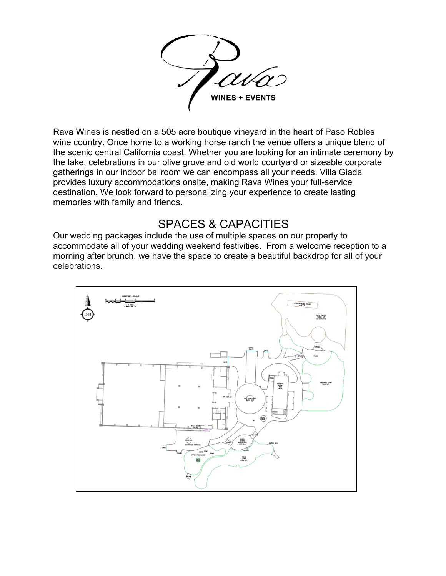

Rava Wines is nestled on a 505 acre boutique vineyard in the heart of Paso Robles wine country. Once home to a working horse ranch the venue offers a unique blend of the scenic central California coast. Whether you are looking for an intimate ceremony by the lake, celebrations in our olive grove and old world courtyard or sizeable corporate gatherings in our indoor ballroom we can encompass all your needs. Villa Giada provides luxury accommodations onsite, making Rava Wines your full-service destination. We look forward to personalizing your experience to create lasting memories with family and friends.

## SPACES & CAPACITIES

Our wedding packages include the use of multiple spaces on our property to accommodate all of your wedding weekend festivities. From a welcome reception to a morning after brunch, we have the space to create a beautiful backdrop for all of your celebrations.